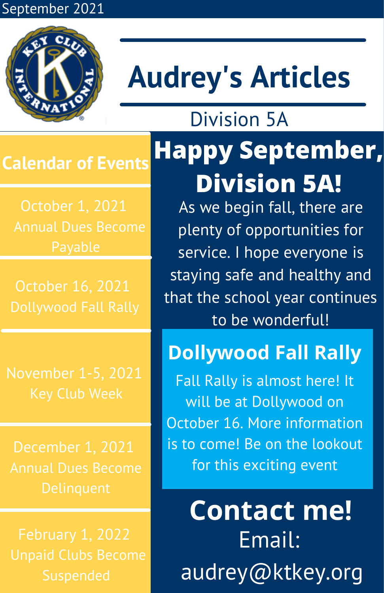#### September 2021



## **Audrey's Articles**

Division 5A

#### **Calendar of Events**

October 1, 2021 Annual Dues Become

October 16, 2021

November 1-5, 2021

December 1, 2021 Annual Dues Become

### **Happy September, Division 5A!**

As we begin fall, there are plenty of opportunities for service. I hope everyone is staying safe and healthy and that the school year continues to be wonderful!

### **Dollywood Fall Rally**

Fall Rally is almost here! It will be at Dollywood on October 16. More information is to come! Be on the lookout for this exciting event

**Contact me!** Email: audrey@ktkey.org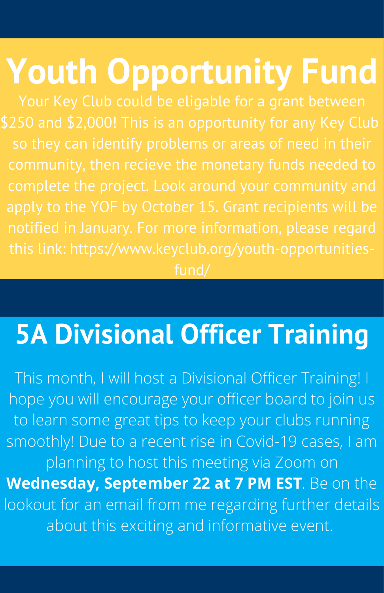# **Youth Opportunity Fund**

fund/

### **5A Divisional Officer Training**

This month, I will host a Divisional Officer Training! I hope you will encourage your officer board to join us to learn some great tips to keep your clubs running smoothly! Due to a recent rise in Covid-19 cases, I am planning to host this meeting via Zoom on **Wednesday, September 22 at 7 PM EST**. Be on the lookout for an email from me regarding further details about this exciting and informative event.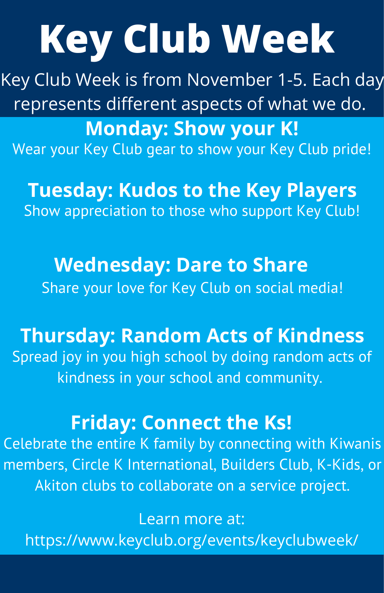# **Key Club Week**

Key Club Week is from November 1-5. Each day represents different aspects of what we do.

**Monday: Show your K!** Wear your Key Club gear to show your Key Club pride!

**Tuesday: Kudos to the Key Players** Show appreciation to those who support Key Club!

**Wednesday: Dare to Share** Share your love for Key Club on social media!

**Thursday: Random Acts of Kindness**

Spread joy in you high school by doing random acts of kindness in your school and community.

#### **Friday: Connect the Ks!**

Celebrate the entire K family by connecting with Kiwanis members, Circle K International, Builders Club, K-Kids, or Akiton clubs to collaborate on a service project.

Learn more at: https://www.keyclub.org/events/keyclubweek/